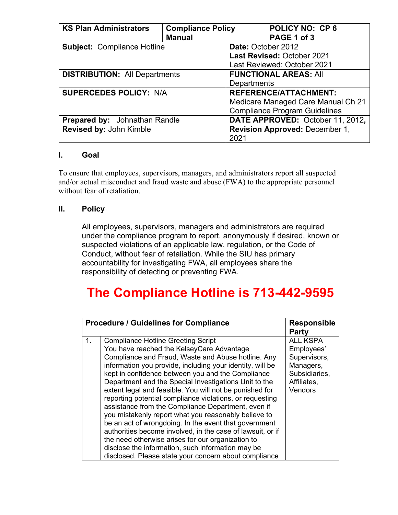| <b>KS Plan Administrators</b>        | <b>Compliance Policy</b> | <b>POLICY NO: CP6</b>                 |  |  |
|--------------------------------------|--------------------------|---------------------------------------|--|--|
|                                      | <b>Manual</b>            | PAGE 1 of 3                           |  |  |
| <b>Subject: Compliance Hotline</b>   |                          | Date: October 2012                    |  |  |
|                                      |                          | Last Revised: October 2021            |  |  |
|                                      |                          | Last Reviewed: October 2021           |  |  |
| <b>DISTRIBUTION: All Departments</b> |                          | <b>FUNCTIONAL AREAS: All</b>          |  |  |
|                                      |                          | Departments                           |  |  |
| <b>SUPERCEDES POLICY: N/A</b>        |                          | <b>REFERENCE/ATTACHMENT:</b>          |  |  |
|                                      |                          | Medicare Managed Care Manual Ch 21    |  |  |
|                                      |                          | <b>Compliance Program Guidelines</b>  |  |  |
| <b>Prepared by:</b> Johnathan Randle |                          | DATE APPROVED: October 11, 2012,      |  |  |
| Revised by: John Kimble              |                          | <b>Revision Approved: December 1,</b> |  |  |
|                                      |                          | 2021                                  |  |  |

## **I. Goal**

To ensure that employees, supervisors, managers, and administrators report all suspected and/or actual misconduct and fraud waste and abuse (FWA) to the appropriate personnel without fear of retaliation.

## **II. Policy**

All employees, supervisors, managers and administrators are required under the compliance program to report, anonymously if desired, known or suspected violations of an applicable law, regulation, or the Code of Conduct, without fear of retaliation. While the SIU has primary accountability for investigating FWA, all employees share the responsibility of detecting or preventing FWA.

## **The Compliance Hotline is 713-442-9595**

|    | <b>Procedure / Guidelines for Compliance</b>                                                                                                                                                                                                                                                                                                                                                                                                                                                                                                                                                                                                                                                                                                                                                                                                           | <b>Responsible</b><br>Party                                                                           |
|----|--------------------------------------------------------------------------------------------------------------------------------------------------------------------------------------------------------------------------------------------------------------------------------------------------------------------------------------------------------------------------------------------------------------------------------------------------------------------------------------------------------------------------------------------------------------------------------------------------------------------------------------------------------------------------------------------------------------------------------------------------------------------------------------------------------------------------------------------------------|-------------------------------------------------------------------------------------------------------|
| 1. | <b>Compliance Hotline Greeting Script</b><br>You have reached the KelseyCare Advantage<br>Compliance and Fraud, Waste and Abuse hotline. Any<br>information you provide, including your identity, will be<br>kept in confidence between you and the Compliance<br>Department and the Special Investigations Unit to the<br>extent legal and feasible. You will not be punished for<br>reporting potential compliance violations, or requesting<br>assistance from the Compliance Department, even if<br>you mistakenly report what you reasonably believe to<br>be an act of wrongdoing. In the event that government<br>authorities become involved, in the case of lawsuit, or if<br>the need otherwise arises for our organization to<br>disclose the information, such information may be<br>disclosed. Please state your concern about compliance | <b>ALL KSPA</b><br>Employees'<br>Supervisors,<br>Managers,<br>Subsidiaries,<br>Affiliates,<br>Vendors |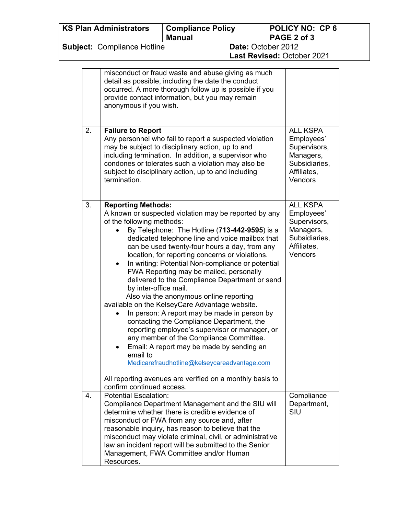| <b>KS Plan Administrators</b>                                                          |                                                                                                                                                                                                                                                 |                                                                                                                                       | <b>Compliance Policy</b><br><b>Manual</b>                                                                                                                                                                                                                                                                                                                                                                                                                                                                                                                                                                                                                                                                                                                                                                                                                         |  | <b>POLICY NO: CP6</b><br>PAGE 2 of 3                                                                  |  |
|----------------------------------------------------------------------------------------|-------------------------------------------------------------------------------------------------------------------------------------------------------------------------------------------------------------------------------------------------|---------------------------------------------------------------------------------------------------------------------------------------|-------------------------------------------------------------------------------------------------------------------------------------------------------------------------------------------------------------------------------------------------------------------------------------------------------------------------------------------------------------------------------------------------------------------------------------------------------------------------------------------------------------------------------------------------------------------------------------------------------------------------------------------------------------------------------------------------------------------------------------------------------------------------------------------------------------------------------------------------------------------|--|-------------------------------------------------------------------------------------------------------|--|
| <b>Subject: Compliance Hotline</b><br>Date: October 2012<br>Last Revised: October 2021 |                                                                                                                                                                                                                                                 |                                                                                                                                       |                                                                                                                                                                                                                                                                                                                                                                                                                                                                                                                                                                                                                                                                                                                                                                                                                                                                   |  |                                                                                                       |  |
|                                                                                        | misconduct or fraud waste and abuse giving as much<br>detail as possible, including the date the conduct<br>occurred. A more thorough follow up is possible if you<br>provide contact information, but you may remain<br>anonymous if you wish. |                                                                                                                                       |                                                                                                                                                                                                                                                                                                                                                                                                                                                                                                                                                                                                                                                                                                                                                                                                                                                                   |  |                                                                                                       |  |
|                                                                                        | 2.                                                                                                                                                                                                                                              | <b>Failure to Report</b><br>termination.                                                                                              | Any personnel who fail to report a suspected violation<br>may be subject to disciplinary action, up to and<br>including termination. In addition, a supervisor who<br>condones or tolerates such a violation may also be<br>subject to disciplinary action, up to and including                                                                                                                                                                                                                                                                                                                                                                                                                                                                                                                                                                                   |  | <b>ALL KSPA</b><br>Employees'<br>Supervisors,<br>Managers,<br>Subsidiaries,<br>Affiliates,<br>Vendors |  |
|                                                                                        | 3.                                                                                                                                                                                                                                              | <b>Reporting Methods:</b><br>of the following methods:<br>$\bullet$<br>by inter-office mail.<br>email to<br>confirm continued access. | A known or suspected violation may be reported by any<br>By Telephone: The Hotline (713-442-9595) is a<br>dedicated telephone line and voice mailbox that<br>can be used twenty-four hours a day, from any<br>location, for reporting concerns or violations.<br>In writing: Potential Non-compliance or potential<br>FWA Reporting may be mailed, personally<br>delivered to the Compliance Department or send<br>Also via the anonymous online reporting<br>available on the KelseyCare Advantage website.<br>• In person: A report may be made in person by<br>contacting the Compliance Department, the<br>reporting employee's supervisor or manager, or<br>any member of the Compliance Committee.<br>Email: A report may be made by sending an<br>Medicarefraudhotline@kelseycareadvantage.com<br>All reporting avenues are verified on a monthly basis to |  | <b>ALL KSPA</b><br>Employees'<br>Supervisors,<br>Managers,<br>Subsidiaries,<br>Affiliates,<br>Vendors |  |
|                                                                                        | 4.                                                                                                                                                                                                                                              | <b>Potential Escalation:</b><br>Resources.                                                                                            | Compliance Department Management and the SIU will<br>determine whether there is credible evidence of<br>misconduct or FWA from any source and, after<br>reasonable inquiry, has reason to believe that the<br>misconduct may violate criminal, civil, or administrative<br>law an incident report will be submitted to the Senior<br>Management, FWA Committee and/or Human                                                                                                                                                                                                                                                                                                                                                                                                                                                                                       |  | Compliance<br>Department,<br>SIU                                                                      |  |